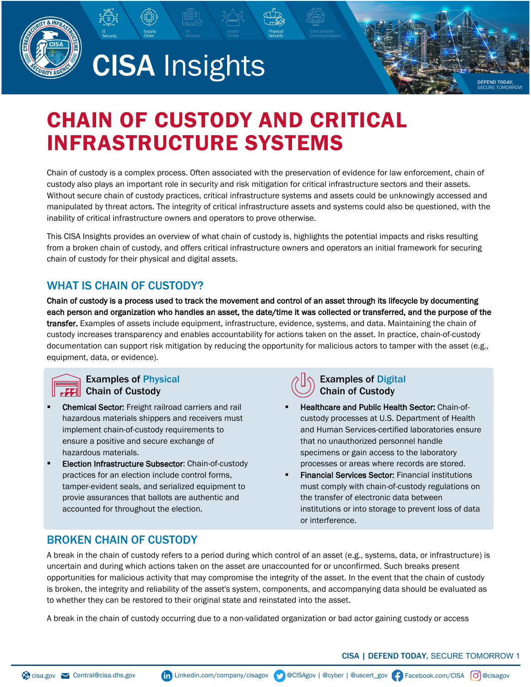



# CHAIN OF CUSTODY AND CRITICAL INFRASTRUCTURE SYSTEMS

Chain of custody is a complex process. Often associated with the preservation of evidence for law enforcement, chain of custody also plays an important role in security and risk mitigation for critical infrastructure sectors and their assets. Without secure chain of custody practices, critical infrastructure systems and assets could be unknowingly accessed and manipulated by threat actors. The integrity of critical infrastructure assets and systems could also be questioned, with the inability of critical infrastructure owners and operators to prove otherwise.

This CISA Insights provides an overview of what chain of custody is, highlights the potential impacts and risks resulting from a broken chain of custody, and offers critical infrastructure owners and operators an initial framework for securing chain of custody for their physical and digital assets.

# WHAT IS CHAIN OF CUSTODY?

Chain of custody is a process used to track the movement and control of an asset through its lifecycle by documenting each person and organization who handles an asset, the date/time it was collected or transferred, and the purpose of the transfer. Examples of assets include equipment, infrastructure, evidence, systems, and data. Maintaining the chain of custody increases transparency and enables accountability for actions taken on the asset. In practice, chain-of-custody documentation can support risk mitigation by reducing the opportunity for malicious actors to tamper with the asset (e.g., equipment, data, or evidence).



#### Examples of Physical Chain of Custody

- Chemical Sector: Freight railroad carriers and rail hazardous materials shippers and receivers must implement chain-of-custody requirements to ensure a positive and secure exchange of hazardous materials.
- Election Infrastructure Subsector: Chain-of-custody practices for an election include control forms, tamper-evident seals, and serialized equipment to provie assurances that ballots are authentic and accounted for throughout the election.



#### Examples of Digital Chain of Custody

- Healthcare and Public Health Sector: Chain-ofcustody processes at U.S. Department of Health and Human Services-certified laboratories ensure that no unauthorized personnel handle specimens or gain access to the laboratory processes or areas where records are stored.
- Financial Services Sector: Financial institutions must comply with chain-of-custody regulations on the transfer of electronic data between institutions or into storage to prevent loss of data or interference.

# BROKEN CHAIN OF CUSTODY

A break in the chain of custody refers to a period during which control of an asset (e.g., systems, data, or infrastructure) is uncertain and during which actions taken on the asset are unaccounted for or unconfirmed. Such breaks present opportunities for malicious activity that may compromise the integrity of the asset. In the event that the chain of custody is broken, the integrity and reliability of the asset's system, components, and accompanying data should be evaluated as to whether they can be restored to their original state and reinstated into the asset.

A break in the chain of custody occurring due to a non-validated organization or bad actor gaining custody or access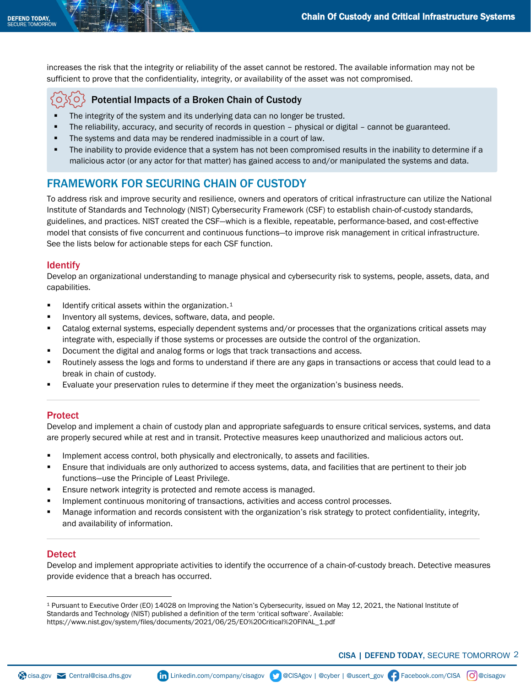increases the risk that the integrity or reliability of the asset cannot be restored. The available information may not be sufficient to prove that the confidentiality, integrity, or availability of the asset was not compromised.

#### Potential Impacts of a Broken Chain of Custody ر 0 ک

- **The integrity of the system and its underlying data can no longer be trusted.**
- The reliability, accuracy, and security of records in question physical or digital cannot be guaranteed.
- The systems and data may be rendered inadmissible in a court of law.
- The inability to provide evidence that a system has not been compromised results in the inability to determine if a malicious actor (or any actor for that matter) has gained access to and/or manipulated the systems and data.

# FRAMEWORK FOR SECURING CHAIN OF CUSTODY

To address risk and improve security and resilience, owners and operators of critical infrastructure can utilize the National Institute of Standards and Technology (NIST) Cybersecurity Framework (CSF) to establish chain-of-custody standards, guidelines, and practices. NIST created the CSF—which is a flexible, repeatable, performance-based, and cost-effective model that consists of five concurrent and continuous functions—to improve risk management in critical infrastructure. See the lists below for actionable steps for each CSF function.

#### Identify

Develop an organizational understanding to manage physical and cybersecurity risk to systems, people, assets, data, and capabilities.

- Identify critical assets within the organization.<sup>[1](#page-1-0)</sup>
- Inventory all systems, devices, software, data, and people.
- Catalog external systems, especially dependent systems and/or processes that the organizations critical assets may integrate with, especially if those systems or processes are outside the control of the organization.
- Document the digital and analog forms or logs that track transactions and access.
- Routinely assess the logs and forms to understand if there are any gaps in transactions or access that could lead to a break in chain of custody.
- Evaluate your preservation rules to determine if they meet the organization's business needs.

#### **Protect**

Develop and implement a chain of custody plan and appropriate safeguards to ensure critical services, systems, and data are properly secured while at rest and in transit. Protective measures keep unauthorized and malicious actors out.

- Implement access control, both physically and electronically, to assets and facilities.
- Ensure that individuals are only authorized to access systems, data, and facilities that are pertinent to their job functions—use the Principle of Least Privilege.
- Ensure network integrity is protected and remote access is managed.
- Implement continuous monitoring of transactions, activities and access control processes.
- Manage information and records consistent with the organization's risk strategy to protect confidentiality, integrity, and availability of information.

#### **Detect**

Develop and implement appropriate activities to identify the occurrence of a chain-of-custody breach. Detective measures provide evidence that a breach has occurred.

<span id="page-1-0"></span><sup>1</sup> Pursuant to Executive Order (EO) 14028 on Improving the Nation's Cybersecurity, issued on May 12, 2021, the National Institute of Standards and Technology (NIST) published a definition of the term 'critical software'. Available: https://www.nist.gov/system/files/documents/2021/06/25/EO%20Critical%20FINAL\_1.pdf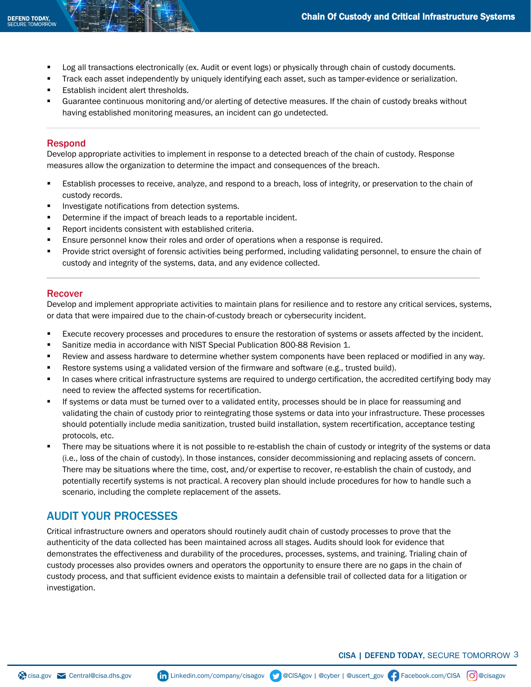- Log all transactions electronically (ex. Audit or event logs) or physically through chain of custody documents.
- Track each asset independently by uniquely identifying each asset, such as tamper-evidence or serialization.
- Establish incident alert thresholds.
- Guarantee continuous monitoring and/or alerting of detective measures. If the chain of custody breaks without having established monitoring measures, an incident can go undetected.

#### Respond

Develop appropriate activities to implement in response to a detected breach of the chain of custody. Response measures allow the organization to determine the impact and consequences of the breach.

- Establish processes to receive, analyze, and respond to a breach, loss of integrity, or preservation to the chain of custody records.
- Investigate notifications from detection systems.
- **•** Determine if the impact of breach leads to a reportable incident.
- Report incidents consistent with established criteria.
- Ensure personnel know their roles and order of operations when a response is required.
- **Provide strict oversight of forensic activities being performed, including validating personnel, to ensure the chain of** custody and integrity of the systems, data, and any evidence collected.

#### Recover

Develop and implement appropriate activities to maintain plans for resilience and to restore any critical services, systems, or data that were impaired due to the chain-of-custody breach or cybersecurity incident.

- **Execute recovery processes and procedures to ensure the restoration of systems or assets affected by the incident.**
- Sanitize media in accordance with NIST Special Publication 800-88 Revision 1.
- Review and assess hardware to determine whether system components have been replaced or modified in any way.
- Restore systems using a validated version of the firmware and software (e.g., trusted build).
- In cases where critical infrastructure systems are required to undergo certification, the accredited certifying body may need to review the affected systems for recertification.
- If systems or data must be turned over to a validated entity, processes should be in place for reassuming and validating the chain of custody prior to reintegrating those systems or data into your infrastructure. These processes should potentially include media sanitization, trusted build installation, system recertification, acceptance testing protocols, etc.
- There may be situations where it is not possible to re-establish the chain of custody or integrity of the systems or data (i.e., loss of the chain of custody). In those instances, consider decommissioning and replacing assets of concern. There may be situations where the time, cost, and/or expertise to recover, re-establish the chain of custody, and potentially recertify systems is not practical. A recovery plan should include procedures for how to handle such a scenario, including the complete replacement of the assets.

# AUDIT YOUR PROCESSES

Critical infrastructure owners and operators should routinely audit chain of custody processes to prove that the authenticity of the data collected has been maintained across all stages. Audits should look for evidence that demonstrates the effectiveness and durability of the procedures, processes, systems, and training. Trialing chain of custody processes also provides owners and operators the opportunity to ensure there are no gaps in the chain of custody process, and that sufficient evidence exists to maintain a defensible trail of collected data for a litigation or investigation.